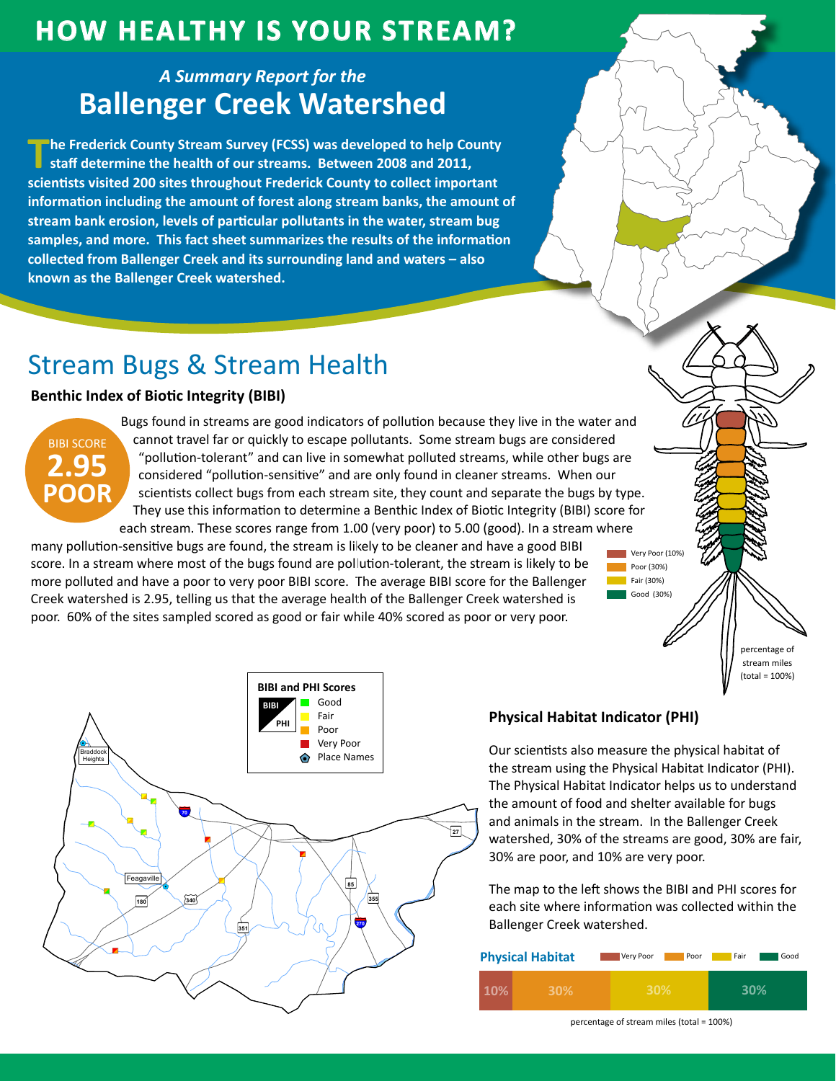## **HOW HEALTHY IS YOUR STREAM?**

### **A Summary Report for the Ballenger Creek Watershed**

The Frederick County Stream Survey (FCSS) was developed to help County staff determine the health of our streams. Between 2008 and 2011, scientists visited 200 sites throughout Frederick County to collect important information including the amount of forest along stream banks, the amount of stream bank erosion, levels of particular pollutants in the water, stream bug samples, and more. This fact sheet summarizes the results of the information collected from Ballenger Creek and its surrounding land and waters - also known as the Ballenger Creek watershed.

# **Stream Bugs & Stream Health**

### **Benthic Index of Biotic Integrity (BIBI)**



Bugs found in streams are good indicators of pollution because they live in the water and cannot travel far or quickly to escape pollutants. Some stream bugs are considered "pollution-tolerant" and can live in somewhat polluted streams, while other bugs are considered "pollution-sensitive" and are only found in cleaner streams. When our scientists collect bugs from each stream site, they count and separate the bugs by type. They use this information to determine a Benthic Index of Biotic Integrity (BIBI) score for each stream. These scores range from 1.00 (very poor) to 5.00 (good). In a stream where

many pollution-sensitive bugs are found, the stream is likely to be cleaner and have a good BIBI score. In a stream where most of the bugs found are pollution-tolerant, the stream is likely to be more polluted and have a poor to very poor BIBI score. The average BIBI score for the Ballenger Creek watershed is 2.95, telling us that the average health of the Ballenger Creek watershed is poor. 60% of the sites sampled scored as good or fair while 40% scored as poor or very poor.



#### **Physical Habitat Indicator (PHI)**

Our scientists also measure the physical habitat of the stream using the Physical Habitat Indicator (PHI). The Physical Habitat Indicator helps us to understand the amount of food and shelter available for bugs and animals in the stream. In the Ballenger Creek watershed, 30% of the streams are good, 30% are fair, 30% are poor, and 10% are very poor.

Very Poor (10%)

nercentage of stream miles  $(total = 100%)$ 

Poor (30%)

Fair  $(30%)$ Good (30%)

The map to the left shows the BIBI and PHI scores for each site where information was collected within the Ballenger Creek watershed.

| <b>Physical Habitat</b> | Very Poor<br>Poor | Fair<br>Good |
|-------------------------|-------------------|--------------|
| .0%<br>30%              | 30%               |              |

percentage of stream miles (total = 100%)